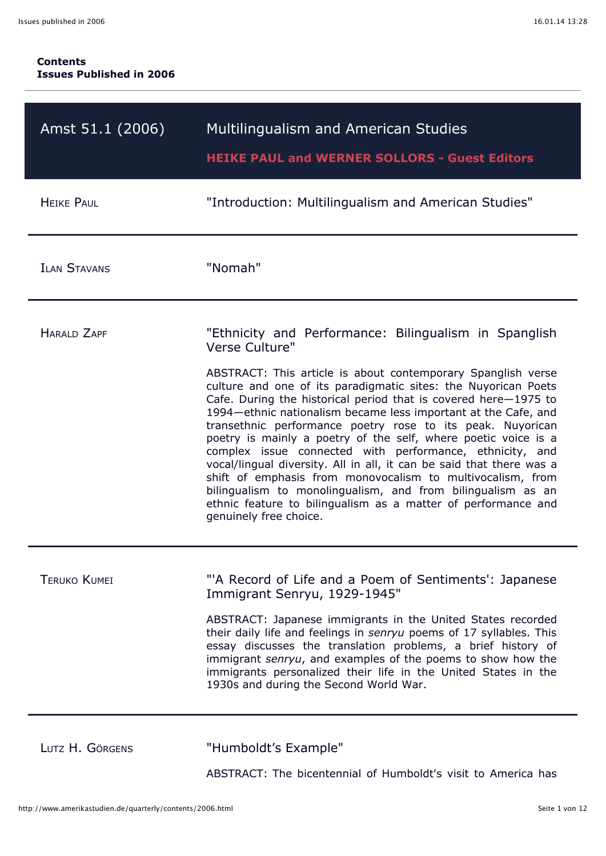| Amst 51.1 (2006)    | <b>Multilingualism and American Studies</b><br><b>HEIKE PAUL and WERNER SOLLORS - Guest Editors</b>                                                                                                                                                                                                                                                                                                                                                                                                                                                                                                                                                                                                                                                                                                                                          |
|---------------------|----------------------------------------------------------------------------------------------------------------------------------------------------------------------------------------------------------------------------------------------------------------------------------------------------------------------------------------------------------------------------------------------------------------------------------------------------------------------------------------------------------------------------------------------------------------------------------------------------------------------------------------------------------------------------------------------------------------------------------------------------------------------------------------------------------------------------------------------|
| <b>HEIKE PAUL</b>   | "Introduction: Multilingualism and American Studies"                                                                                                                                                                                                                                                                                                                                                                                                                                                                                                                                                                                                                                                                                                                                                                                         |
| <b>ILAN STAVANS</b> | "Nomah"                                                                                                                                                                                                                                                                                                                                                                                                                                                                                                                                                                                                                                                                                                                                                                                                                                      |
| HARAID ZAPF         | "Ethnicity and Performance: Bilingualism in Spanglish<br>Verse Culture"<br>ABSTRACT: This article is about contemporary Spanglish verse<br>culture and one of its paradigmatic sites: the Nuyorican Poets<br>Cafe. During the historical period that is covered here-1975 to<br>1994 – ethnic nationalism became less important at the Cafe, and<br>transethnic performance poetry rose to its peak. Nuyorican<br>poetry is mainly a poetry of the self, where poetic voice is a<br>complex issue connected with performance, ethnicity, and<br>vocal/lingual diversity. All in all, it can be said that there was a<br>shift of emphasis from monovocalism to multivocalism, from<br>bilingualism to monolingualism, and from bilingualism as an<br>ethnic feature to bilingualism as a matter of performance and<br>genuinely free choice. |
| <b>TERUKO KUMEI</b> | "'A Record of Life and a Poem of Sentiments': Japanese<br>Immigrant Senryu, 1929-1945"<br>ABSTRACT: Japanese immigrants in the United States recorded<br>their daily life and feelings in senryu poems of 17 syllables. This<br>essay discusses the translation problems, a brief history of<br>immigrant senryu, and examples of the poems to show how the<br>immigrants personalized their life in the United States in the<br>1930s and during the Second World War.                                                                                                                                                                                                                                                                                                                                                                      |
|                     | "U                                                                                                                                                                                                                                                                                                                                                                                                                                                                                                                                                                                                                                                                                                                                                                                                                                           |

LUTZ H. GÖRGENS "Humboldt's Example"

ABSTRACT: The bicentennial of Humboldt's visit to America has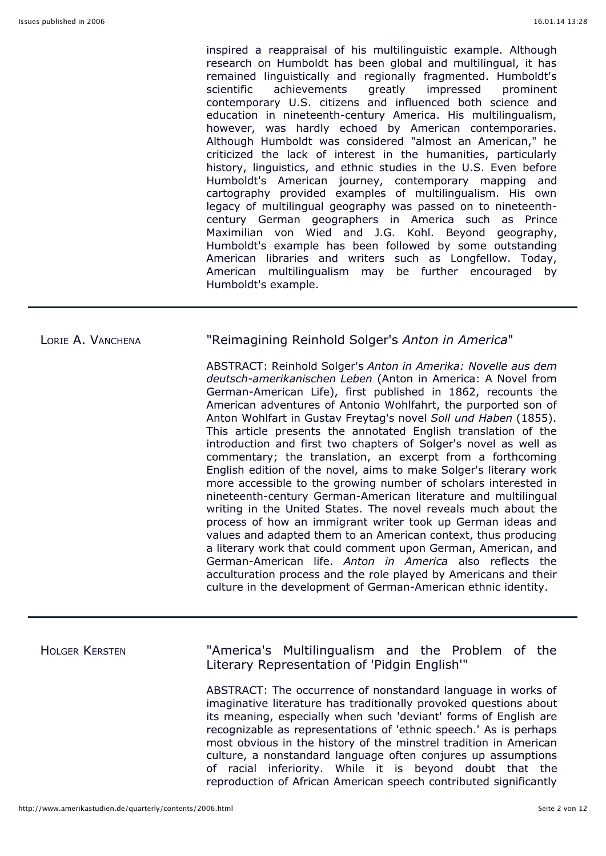inspired a reappraisal of his multilinguistic example. Although research on Humboldt has been global and multilingual, it has remained linguistically and regionally fragmented. Humboldt's scientific achievements greatly impressed prominent contemporary U.S. citizens and influenced both science and education in nineteenth-century America. His multilingualism, however, was hardly echoed by American contemporaries. Although Humboldt was considered "almost an American," he criticized the lack of interest in the humanities, particularly history, linguistics, and ethnic studies in the U.S. Even before Humboldt's American journey, contemporary mapping and cartography provided examples of multilingualism. His own legacy of multilingual geography was passed on to nineteenthcentury German geographers in America such as Prince Maximilian von Wied and J.G. Kohl. Beyond geography, Humboldt's example has been followed by some outstanding American libraries and writers such as Longfellow. Today, American multilingualism may be further encouraged by Humboldt's example.

### LORIE A. VANCHENA "Reimagining Reinhold Solger's *Anton in America*"

ABSTRACT: Reinhold Solger's *Anton in Amerika: Novelle aus dem deutsch-amerikanischen Leben* (Anton in America: A Novel from German-American Life), first published in 1862, recounts the American adventures of Antonio Wohlfahrt, the purported son of Anton Wohlfart in Gustav Freytag's novel *Soll und Haben* (1855). This article presents the annotated English translation of the introduction and first two chapters of Solger's novel as well as commentary; the translation, an excerpt from a forthcoming English edition of the novel, aims to make Solger's literary work more accessible to the growing number of scholars interested in nineteenth-century German-American literature and multilingual writing in the United States. The novel reveals much about the process of how an immigrant writer took up German ideas and values and adapted them to an American context, thus producing a literary work that could comment upon German, American, and German-American life. *Anton in America* also reflects the acculturation process and the role played by Americans and their culture in the development of German-American ethnic identity.

HOLGER KERSTEN "America's Multilingualism and the Problem of the Literary Representation of 'Pidgin English'"

> ABSTRACT: The occurrence of nonstandard language in works of imaginative literature has traditionally provoked questions about its meaning, especially when such 'deviant' forms of English are recognizable as representations of 'ethnic speech.' As is perhaps most obvious in the history of the minstrel tradition in American culture, a nonstandard language often conjures up assumptions of racial inferiority. While it is beyond doubt that the reproduction of African American speech contributed significantly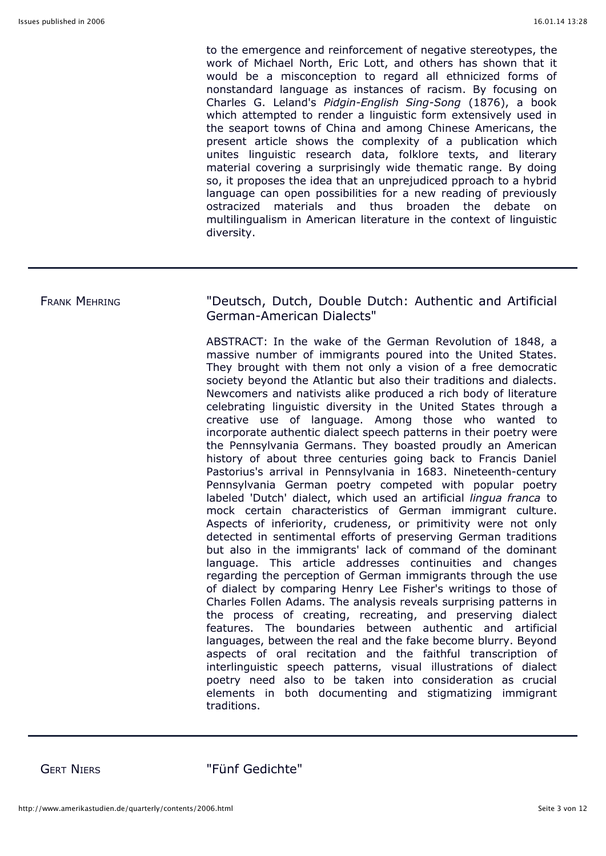to the emergence and reinforcement of negative stereotypes, the work of Michael North, Eric Lott, and others has shown that it would be a misconception to regard all ethnicized forms of nonstandard language as instances of racism. By focusing on Charles G. Leland's *Pidgin-English Sing-Song* (1876), a book which attempted to render a linguistic form extensively used in the seaport towns of China and among Chinese Americans, the present article shows the complexity of a publication which unites linguistic research data, folklore texts, and literary material covering a surprisingly wide thematic range. By doing so, it proposes the idea that an unprejudiced pproach to a hybrid language can open possibilities for a new reading of previously ostracized materials and thus broaden the debate on multilingualism in American literature in the context of linguistic diversity.

### FRANK MEHRING "Deutsch, Dutch, Double Dutch: Authentic and Artificial German-American Dialects"

ABSTRACT: In the wake of the German Revolution of 1848, a massive number of immigrants poured into the United States. They brought with them not only a vision of a free democratic society beyond the Atlantic but also their traditions and dialects. Newcomers and nativists alike produced a rich body of literature celebrating linguistic diversity in the United States through a creative use of language. Among those who wanted to incorporate authentic dialect speech patterns in their poetry were the Pennsylvania Germans. They boasted proudly an American history of about three centuries going back to Francis Daniel Pastorius's arrival in Pennsylvania in 1683. Nineteenth-century Pennsylvania German poetry competed with popular poetry labeled 'Dutch' dialect, which used an artificial *lingua franca* to mock certain characteristics of German immigrant culture. Aspects of inferiority, crudeness, or primitivity were not only detected in sentimental efforts of preserving German traditions but also in the immigrants' lack of command of the dominant language. This article addresses continuities and changes regarding the perception of German immigrants through the use of dialect by comparing Henry Lee Fisher's writings to those of Charles Follen Adams. The analysis reveals surprising patterns in the process of creating, recreating, and preserving dialect features. The boundaries between authentic and artificial languages, between the real and the fake become blurry. Beyond aspects of oral recitation and the faithful transcription of interlinguistic speech patterns, visual illustrations of dialect poetry need also to be taken into consideration as crucial elements in both documenting and stigmatizing immigrant traditions.

GERT NIERS "Fünf Gedichte"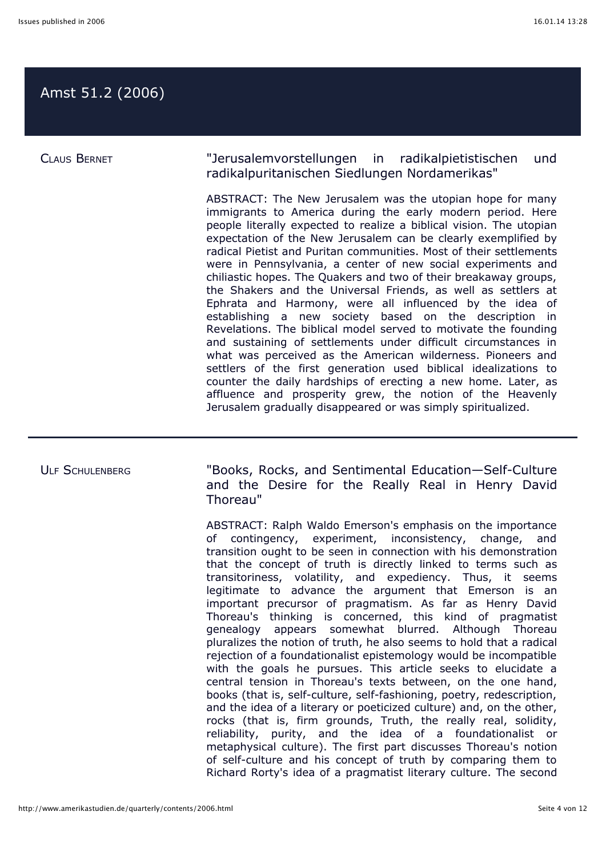## Amst 51.2 (2006)

CLAUS BERNET "Jerusalemvorstellungen in radikalpietistischen und radikalpuritanischen Siedlungen Nordamerikas"

> ABSTRACT: The New Jerusalem was the utopian hope for many immigrants to America during the early modern period. Here people literally expected to realize a biblical vision. The utopian expectation of the New Jerusalem can be clearly exemplified by radical Pietist and Puritan communities. Most of their settlements were in Pennsylvania, a center of new social experiments and chiliastic hopes. The Quakers and two of their breakaway groups, the Shakers and the Universal Friends, as well as settlers at Ephrata and Harmony, were all influenced by the idea of establishing a new society based on the description in Revelations. The biblical model served to motivate the founding and sustaining of settlements under difficult circumstances in what was perceived as the American wilderness. Pioneers and settlers of the first generation used biblical idealizations to counter the daily hardships of erecting a new home. Later, as affluence and prosperity grew, the notion of the Heavenly Jerusalem gradually disappeared or was simply spiritualized.

ULF SCHULENBERG "Books, Rocks, and Sentimental Education-Self-Culture and the Desire for the Really Real in Henry David Thoreau"

> ABSTRACT: Ralph Waldo Emerson's emphasis on the importance of contingency, experiment, inconsistency, change, and transition ought to be seen in connection with his demonstration that the concept of truth is directly linked to terms such as transitoriness, volatility, and expediency. Thus, it seems legitimate to advance the argument that Emerson is an important precursor of pragmatism. As far as Henry David Thoreau's thinking is concerned, this kind of pragmatist genealogy appears somewhat blurred. Although Thoreau pluralizes the notion of truth, he also seems to hold that a radical rejection of a foundationalist epistemology would be incompatible with the goals he pursues. This article seeks to elucidate a central tension in Thoreau's texts between, on the one hand, books (that is, self-culture, self-fashioning, poetry, redescription, and the idea of a literary or poeticized culture) and, on the other, rocks (that is, firm grounds, Truth, the really real, solidity, reliability, purity, and the idea of a foundationalist or metaphysical culture). The first part discusses Thoreau's notion of self-culture and his concept of truth by comparing them to Richard Rorty's idea of a pragmatist literary culture. The second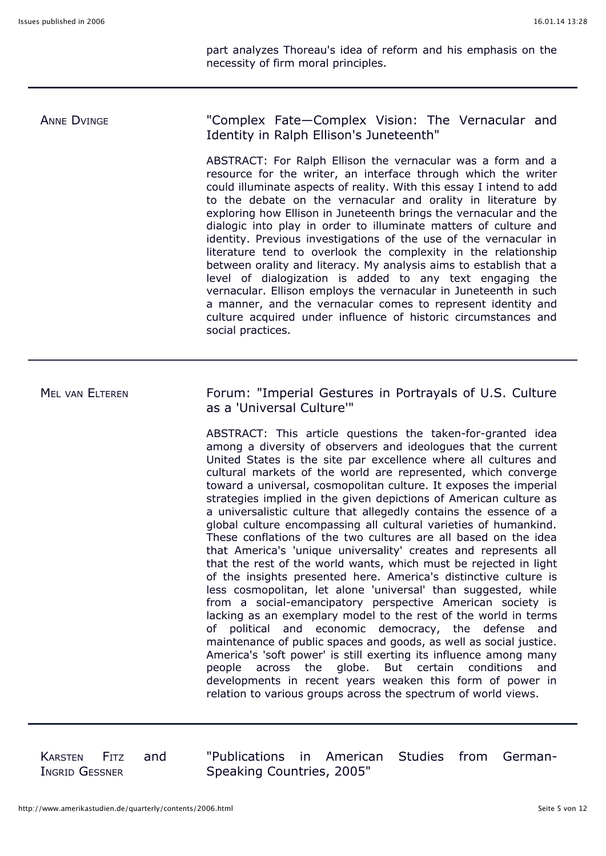part analyzes Thoreau's idea of reform and his emphasis on the necessity of firm moral principles.

# ANNE DVINGE **The Complex Fate—Complex Vision:** The Vernacular and Identity in Ralph Ellison's Juneteenth" ABSTRACT: For Ralph Ellison the vernacular was a form and a

resource for the writer, an interface through which the writer could illuminate aspects of reality. With this essay I intend to add to the debate on the vernacular and orality in literature by exploring how Ellison in Juneteenth brings the vernacular and the dialogic into play in order to illuminate matters of culture and identity. Previous investigations of the use of the vernacular in literature tend to overlook the complexity in the relationship between orality and literacy. My analysis aims to establish that a level of dialogization is added to any text engaging the vernacular. Ellison employs the vernacular in Juneteenth in such a manner, and the vernacular comes to represent identity and culture acquired under influence of historic circumstances and social practices.

## MEL VAN ELTEREN Forum: "Imperial Gestures in Portrayals of U.S. Culture as a 'Universal Culture'"

ABSTRACT: This article questions the taken-for-granted idea among a diversity of observers and ideologues that the current United States is the site par excellence where all cultures and cultural markets of the world are represented, which converge toward a universal, cosmopolitan culture. It exposes the imperial strategies implied in the given depictions of American culture as a universalistic culture that allegedly contains the essence of a global culture encompassing all cultural varieties of humankind. These conflations of the two cultures are all based on the idea that America's 'unique universality' creates and represents all that the rest of the world wants, which must be rejected in light of the insights presented here. America's distinctive culture is less cosmopolitan, let alone 'universal' than suggested, while from a social-emancipatory perspective American society is lacking as an exemplary model to the rest of the world in terms of political and economic democracy, the defense and maintenance of public spaces and goods, as well as social justice. America's 'soft power' is still exerting its influence among many people across the globe. But certain conditions and developments in recent years weaken this form of power in relation to various groups across the spectrum of world views.

KARSTEN FITZ and INGRID GESSNER

"Publications in American Studies from German-Speaking Countries, 2005"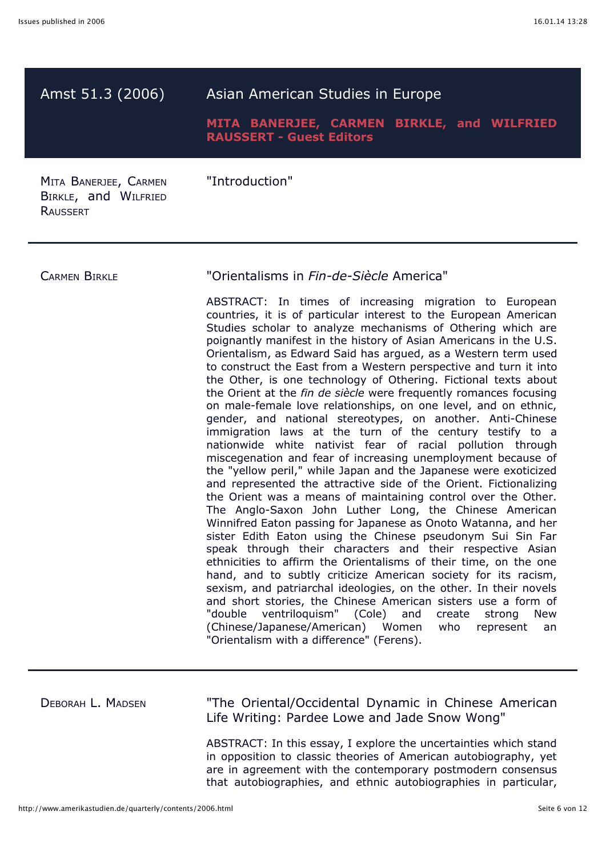| Amst 51.3 (2006)                                                 | Asian American Studies in Europe<br>MITA BANERJEE, CARMEN BIRKLE, and WILFRIED<br><b>RAUSSERT - Guest Editors</b>                                                                                                                                                                                                                                                                                                                                                                                                                                                                                                                                                                                                                                                                                                                                                                                                                                                                                                                                                                                                                                                                                                                                                                                                                                                                                                                                                                                                                                                                                                                                                                                                                                                                                                                                      |
|------------------------------------------------------------------|--------------------------------------------------------------------------------------------------------------------------------------------------------------------------------------------------------------------------------------------------------------------------------------------------------------------------------------------------------------------------------------------------------------------------------------------------------------------------------------------------------------------------------------------------------------------------------------------------------------------------------------------------------------------------------------------------------------------------------------------------------------------------------------------------------------------------------------------------------------------------------------------------------------------------------------------------------------------------------------------------------------------------------------------------------------------------------------------------------------------------------------------------------------------------------------------------------------------------------------------------------------------------------------------------------------------------------------------------------------------------------------------------------------------------------------------------------------------------------------------------------------------------------------------------------------------------------------------------------------------------------------------------------------------------------------------------------------------------------------------------------------------------------------------------------------------------------------------------------|
| MITA BANERJEE, CARMEN<br>BIRKLE, and WILFRIED<br><b>RAUSSERT</b> | "Introduction"                                                                                                                                                                                                                                                                                                                                                                                                                                                                                                                                                                                                                                                                                                                                                                                                                                                                                                                                                                                                                                                                                                                                                                                                                                                                                                                                                                                                                                                                                                                                                                                                                                                                                                                                                                                                                                         |
| <b>CARMEN BIRKLE</b>                                             | "Orientalisms in Fin-de-Siècle America"<br>ABSTRACT: In times of increasing migration to European<br>countries, it is of particular interest to the European American<br>Studies scholar to analyze mechanisms of Othering which are<br>poignantly manifest in the history of Asian Americans in the U.S.<br>Orientalism, as Edward Said has argued, as a Western term used<br>to construct the East from a Western perspective and turn it into<br>the Other, is one technology of Othering. Fictional texts about<br>the Orient at the fin de siècle were frequently romances focusing<br>on male-female love relationships, on one level, and on ethnic,<br>gender, and national stereotypes, on another. Anti-Chinese<br>immigration laws at the turn of the century testify to a<br>nationwide white nativist fear of racial pollution through<br>miscegenation and fear of increasing unemployment because of<br>the "yellow peril," while Japan and the Japanese were exoticized<br>and represented the attractive side of the Orient. Fictionalizing<br>the Orient was a means of maintaining control over the Other.<br>The Anglo-Saxon John Luther Long, the Chinese American<br>Winnifred Eaton passing for Japanese as Onoto Watanna, and her<br>sister Edith Eaton using the Chinese pseudonym Sui Sin Far<br>speak through their characters and their respective Asian<br>ethnicities to affirm the Orientalisms of their time, on the one<br>hand, and to subtly criticize American society for its racism,<br>sexism, and patriarchal ideologies, on the other. In their novels<br>and short stories, the Chinese American sisters use a form of<br>ventriloquism" (Cole) and<br>"double<br>create<br>strong<br><b>New</b><br>(Chinese/Japanese/American) Women<br>who<br>represent<br>an<br>"Orientalism with a difference" (Ferens). |
| DEBORAH L. MADSEN                                                | "The Oriental/Occidental Dynamic in Chinese American<br>Life Writing: Pardee Lowe and Jade Snow Wong"<br>ABSTRACT: In this essay, I explore the uncertainties which stand<br>in opposition to classic theories of American autobiography, yet<br>are in agreement with the contemporary postmodern consensus<br>that autobiographies, and ethnic autobiographies in particular,                                                                                                                                                                                                                                                                                                                                                                                                                                                                                                                                                                                                                                                                                                                                                                                                                                                                                                                                                                                                                                                                                                                                                                                                                                                                                                                                                                                                                                                                        |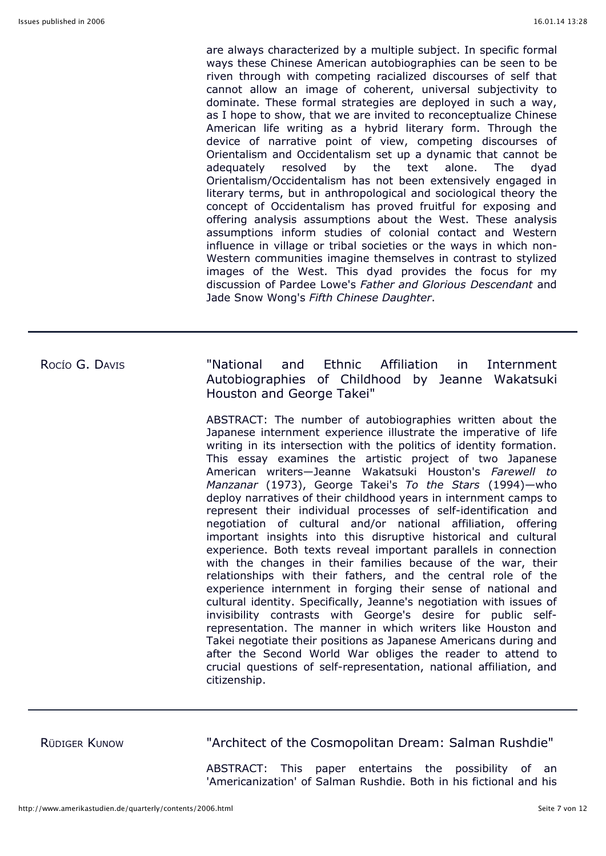are always characterized by a multiple subject. In specific formal ways these Chinese American autobiographies can be seen to be riven through with competing racialized discourses of self that cannot allow an image of coherent, universal subjectivity to dominate. These formal strategies are deployed in such a way, as I hope to show, that we are invited to reconceptualize Chinese American life writing as a hybrid literary form. Through the device of narrative point of view, competing discourses of Orientalism and Occidentalism set up a dynamic that cannot be adequately resolved by the text alone. The dyad Orientalism/Occidentalism has not been extensively engaged in literary terms, but in anthropological and sociological theory the concept of Occidentalism has proved fruitful for exposing and offering analysis assumptions about the West. These analysis assumptions inform studies of colonial contact and Western influence in village or tribal societies or the ways in which non-Western communities imagine themselves in contrast to stylized images of the West. This dyad provides the focus for my discussion of Pardee Lowe's *Father and Glorious Descendant* and Jade Snow Wong's *Fifth Chinese Daughter*.

ROCÍO G. DAVIS "National and Ethnic Affiliation in Internment Autobiographies of Childhood by Jeanne Wakatsuki Houston and George Takei"

> ABSTRACT: The number of autobiographies written about the Japanese internment experience illustrate the imperative of life writing in its intersection with the politics of identity formation. This essay examines the artistic project of two Japanese American writers—Jeanne Wakatsuki Houston's *Farewell to Manzanar* (1973), George Takei's *To the Stars* (1994)—who deploy narratives of their childhood years in internment camps to represent their individual processes of self-identification and negotiation of cultural and/or national affiliation, offering important insights into this disruptive historical and cultural experience. Both texts reveal important parallels in connection with the changes in their families because of the war, their relationships with their fathers, and the central role of the experience internment in forging their sense of national and cultural identity. Specifically, Jeanne's negotiation with issues of invisibility contrasts with George's desire for public selfrepresentation. The manner in which writers like Houston and Takei negotiate their positions as Japanese Americans during and after the Second World War obliges the reader to attend to crucial questions of self-representation, national affiliation, and citizenship.

RÜDIGER KUNOW "Architect of the Cosmopolitan Dream: Salman Rushdie"

ABSTRACT: This paper entertains the possibility of an 'Americanization' of Salman Rushdie. Both in his fictional and his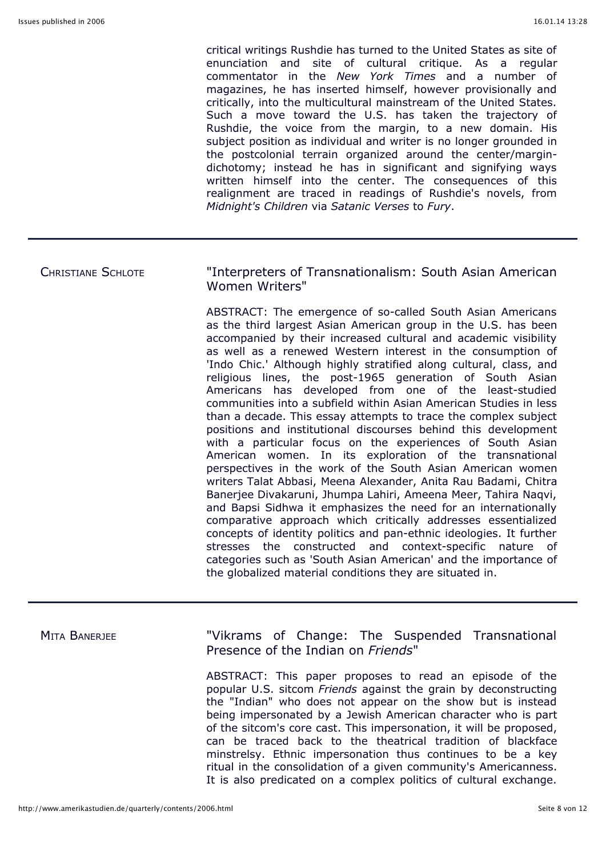critical writings Rushdie has turned to the United States as site of enunciation and site of cultural critique. As a regular commentator in the *New York Times* and a number of magazines, he has inserted himself, however provisionally and critically, into the multicultural mainstream of the United States. Such a move toward the U.S. has taken the trajectory of Rushdie, the voice from the margin, to a new domain. His subject position as individual and writer is no longer grounded in the postcolonial terrain organized around the center/margindichotomy; instead he has in significant and signifying ways written himself into the center. The consequences of this realignment are traced in readings of Rushdie's novels, from *Midnight's Children* via *Satanic Verses* to *Fury*.

### CHRISTIANE SCHLOTE "Interpreters of Transnationalism: South Asian American Women Writers"

ABSTRACT: The emergence of so-called South Asian Americans as the third largest Asian American group in the U.S. has been accompanied by their increased cultural and academic visibility as well as a renewed Western interest in the consumption of 'Indo Chic.' Although highly stratified along cultural, class, and religious lines, the post-1965 generation of South Asian Americans has developed from one of the least-studied communities into a subfield within Asian American Studies in less than a decade. This essay attempts to trace the complex subject positions and institutional discourses behind this development with a particular focus on the experiences of South Asian American women. In its exploration of the transnational perspectives in the work of the South Asian American women writers Talat Abbasi, Meena Alexander, Anita Rau Badami, Chitra Banerjee Divakaruni, Jhumpa Lahiri, Ameena Meer, Tahira Naqvi, and Bapsi Sidhwa it emphasizes the need for an internationally comparative approach which critically addresses essentialized concepts of identity politics and pan-ethnic ideologies. It further stresses the constructed and context-specific nature of categories such as 'South Asian American' and the importance of the globalized material conditions they are situated in.

MITA BANERJEE **The Suspended Transnational** Presence of the Indian on *Friends*"

> ABSTRACT: This paper proposes to read an episode of the popular U.S. sitcom *Friends* against the grain by deconstructing the "Indian" who does not appear on the show but is instead being impersonated by a Jewish American character who is part of the sitcom's core cast. This impersonation, it will be proposed, can be traced back to the theatrical tradition of blackface minstrelsy. Ethnic impersonation thus continues to be a key ritual in the consolidation of a given community's Americanness. It is also predicated on a complex politics of cultural exchange.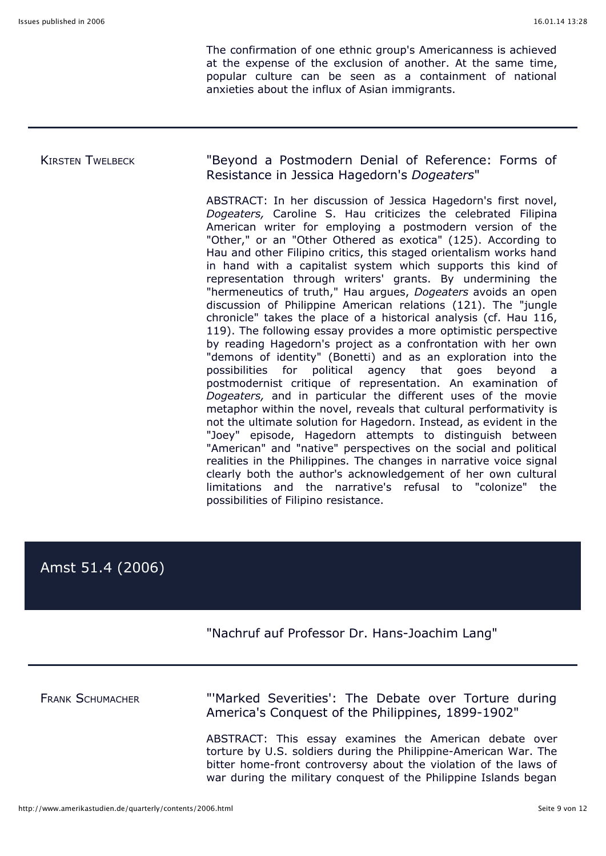The confirmation of one ethnic group's Americanness is achieved at the expense of the exclusion of another. At the same time, popular culture can be seen as a containment of national anxieties about the influx of Asian immigrants.

### KIRSTEN TWELBECK "Beyond a Postmodern Denial of Reference: Forms of Resistance in Jessica Hagedorn's *Dogeaters*"

ABSTRACT: In her discussion of Jessica Hagedorn's first novel, *Dogeaters,* Caroline S. Hau criticizes the celebrated Filipina American writer for employing a postmodern version of the "Other," or an "Other Othered as exotica" (125). According to Hau and other Filipino critics, this staged orientalism works hand in hand with a capitalist system which supports this kind of representation through writers' grants. By undermining the "hermeneutics of truth," Hau argues, *Dogeaters* avoids an open discussion of Philippine American relations (121). The "jungle chronicle" takes the place of a historical analysis (cf. Hau 116, 119). The following essay provides a more optimistic perspective by reading Hagedorn's project as a confrontation with her own "demons of identity" (Bonetti) and as an exploration into the possibilities for political agency that goes beyond a postmodernist critique of representation. An examination of *Dogeaters,* and in particular the different uses of the movie metaphor within the novel, reveals that cultural performativity is not the ultimate solution for Hagedorn. Instead, as evident in the "Joey" episode, Hagedorn attempts to distinguish between "American" and "native" perspectives on the social and political realities in the Philippines. The changes in narrative voice signal clearly both the author's acknowledgement of her own cultural limitations and the narrative's refusal to "colonize" the possibilities of Filipino resistance.

# Amst 51.4 (2006)

### "Nachruf auf Professor Dr. Hans-Joachim Lang"

FRANK SCHUMACHER "'Marked Severities': The Debate over Torture during America's Conquest of the Philippines, 1899-1902"

> ABSTRACT: This essay examines the American debate over torture by U.S. soldiers during the Philippine-American War. The bitter home-front controversy about the violation of the laws of war during the military conquest of the Philippine Islands began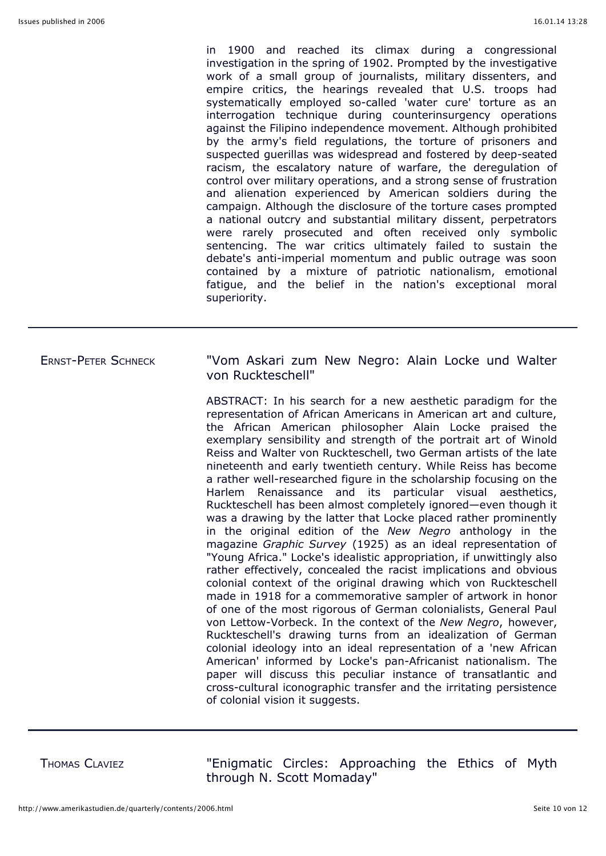in 1900 and reached its climax during a congressional investigation in the spring of 1902. Prompted by the investigative work of a small group of journalists, military dissenters, and empire critics, the hearings revealed that U.S. troops had systematically employed so-called 'water cure' torture as an interrogation technique during counterinsurgency operations against the Filipino independence movement. Although prohibited by the army's field regulations, the torture of prisoners and suspected guerillas was widespread and fostered by deep-seated racism, the escalatory nature of warfare, the deregulation of control over military operations, and a strong sense of frustration and alienation experienced by American soldiers during the campaign. Although the disclosure of the torture cases prompted a national outcry and substantial military dissent, perpetrators were rarely prosecuted and often received only symbolic sentencing. The war critics ultimately failed to sustain the debate's anti-imperial momentum and public outrage was soon contained by a mixture of patriotic nationalism, emotional fatigue, and the belief in the nation's exceptional moral superiority.

### ERNST-PETER SCHNECK "Vom Askari zum New Negro: Alain Locke und Walter von Ruckteschell"

ABSTRACT: In his search for a new aesthetic paradigm for the representation of African Americans in American art and culture, the African American philosopher Alain Locke praised the exemplary sensibility and strength of the portrait art of Winold Reiss and Walter von Ruckteschell, two German artists of the late nineteenth and early twentieth century. While Reiss has become a rather well-researched figure in the scholarship focusing on the Harlem Renaissance and its particular visual aesthetics, Ruckteschell has been almost completely ignored—even though it was a drawing by the latter that Locke placed rather prominently in the original edition of the *New Negro* anthology in the magazine *Graphic Survey* (1925) as an ideal representation of "Young Africa." Locke's idealistic appropriation, if unwittingly also rather effectively, concealed the racist implications and obvious colonial context of the original drawing which von Ruckteschell made in 1918 for a commemorative sampler of artwork in honor of one of the most rigorous of German colonialists, General Paul von Lettow-Vorbeck. In the context of the *New Negro*, however, Ruckteschell's drawing turns from an idealization of German colonial ideology into an ideal representation of a 'new African American' informed by Locke's pan-Africanist nationalism. The paper will discuss this peculiar instance of transatlantic and cross-cultural iconographic transfer and the irritating persistence of colonial vision it suggests.

THOMAS CLAVIEZ "Enigmatic Circles: Approaching the Ethics of Myth through N. Scott Momaday"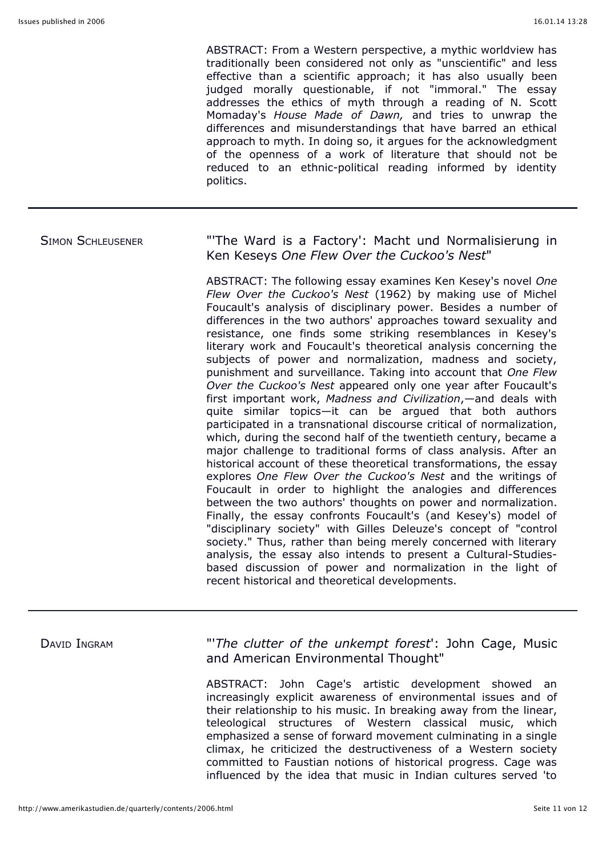ABSTRACT: From a Western perspective, a mythic worldview has traditionally been considered not only as "unscientific" and less effective than a scientific approach; it has also usually been judged morally questionable, if not "immoral." The essay addresses the ethics of myth through a reading of N. Scott Momaday's *House Made of Dawn,* and tries to unwrap the differences and misunderstandings that have barred an ethical approach to myth. In doing so, it argues for the acknowledgment of the openness of a work of literature that should not be reduced to an ethnic-political reading informed by identity politics.

## SIMON SCHLEUSENER "'The Ward is a Factory': Macht und Normalisierung in Ken Keseys *One Flew Over the Cuckoo's Nest*"

ABSTRACT: The following essay examines Ken Kesey's novel *One Flew Over the Cuckoo's Nest* (1962) by making use of Michel Foucault's analysis of disciplinary power. Besides a number of differences in the two authors' approaches toward sexuality and resistance, one finds some striking resemblances in Kesey's literary work and Foucault's theoretical analysis concerning the subjects of power and normalization, madness and society, punishment and surveillance. Taking into account that *One Flew Over the Cuckoo's Nest* appeared only one year after Foucault's first important work, *Madness and Civilization*,—and deals with quite similar topics—it can be argued that both authors participated in a transnational discourse critical of normalization, which, during the second half of the twentieth century, became a major challenge to traditional forms of class analysis. After an historical account of these theoretical transformations, the essay explores *One Flew Over the Cuckoo's Nest* and the writings of Foucault in order to highlight the analogies and differences between the two authors' thoughts on power and normalization. Finally, the essay confronts Foucault's (and Kesey's) model of "disciplinary society" with Gilles Deleuze's concept of "control society." Thus, rather than being merely concerned with literary analysis, the essay also intends to present a Cultural-Studiesbased discussion of power and normalization in the light of recent historical and theoretical developments.

DAVID INGRAM "'*The clutter of the unkempt forest*': John Cage, Music and American Environmental Thought"

> ABSTRACT: John Cage's artistic development showed an increasingly explicit awareness of environmental issues and of their relationship to his music. In breaking away from the linear, teleological structures of Western classical music, which emphasized a sense of forward movement culminating in a single climax, he criticized the destructiveness of a Western society committed to Faustian notions of historical progress. Cage was influenced by the idea that music in Indian cultures served 'to